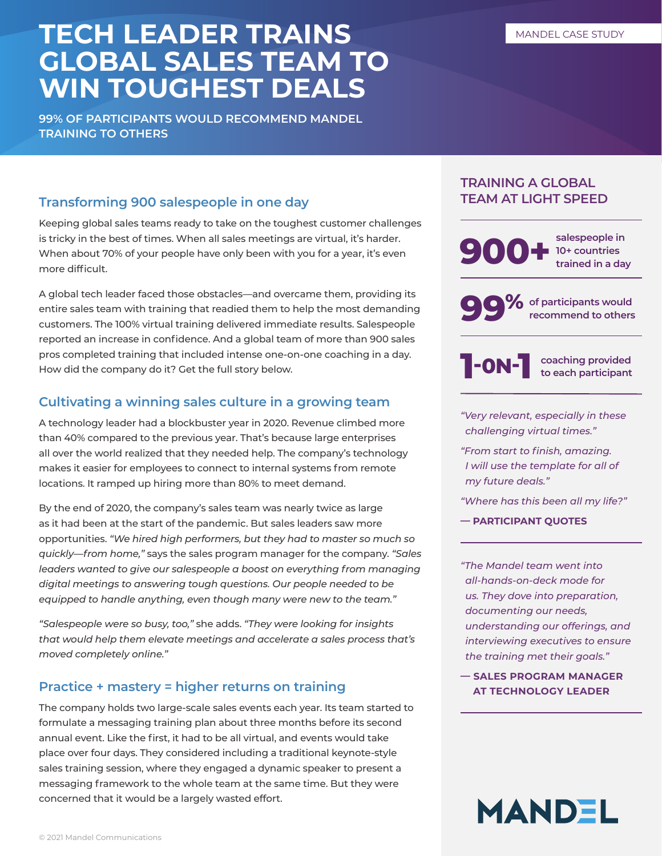# **TECH LEADER TRAINS GLOBAL SALES TEAM TO WIN TOUGHEST DEALS**

**99% OF PARTICIPANTS WOULD RECOMMEND MANDEL TRAINING TO OTHERS** 

# **Transforming 900 salespeople in one day**

Keeping global sales teams ready to take on the toughest customer challenges is tricky in the best of times. When all sales meetings are virtual, it's harder. When about 70% of your people have only been with you for a year, it's even more difficult.

A global tech leader faced those obstacles—and overcame them, providing its entire sales team with training that readied them to help the most demanding customers. The 100% virtual training delivered immediate results. Salespeople reported an increase in confidence. And a global team of more than 900 sales pros completed training that included intense one-on-one coaching in a day. How did the company do it? Get the full story below.

# **Cultivating a winning sales culture in a growing team**

A technology leader had a blockbuster year in 2020. Revenue climbed more than 40% compared to the previous year. That's because large enterprises all over the world realized that they needed help. The company's technology makes it easier for employees to connect to internal systems from remote locations. It ramped up hiring more than 80% to meet demand.

By the end of 2020, the company's sales team was nearly twice as large as it had been at the start of the pandemic. But sales leaders saw more opportunities. *"We hired high performers, but they had to master so much so quickly—from home,"* says the sales program manager for the company. *"Sales leaders wanted to give our salespeople a boost on everything from managing digital meetings to answering tough questions. Our people needed to be equipped to handle anything, even though many were new to the team."*

*"Salespeople were so busy, too,"* she adds. *"They were looking for insights that would help them elevate meetings and accelerate a sales process that's moved completely online."* 

## **Practice + mastery = higher returns on training**

The company holds two large-scale sales events each year. Its team started to formulate a messaging training plan about three months before its second annual event. Like the first, it had to be all virtual, and events would take place over four days. They considered including a traditional keynote-style sales training session, where they engaged a dynamic speaker to present a messaging framework to the whole team at the same time. But they were concerned that it would be a largely wasted effort.

### **TRAINING A GLOBAL TEAM AT LIGHT SPEED**



**99%** of participants would<br>recommend to others **recommend to others** 



**coaching provided to each participant** 

*"Very relevant, especially in these challenging virtual times."* 

*"From start to finish, amazing. I will use the template for all of my future deals."* 

*"Where has this been all my life?"* 

**— PARTICIPANT QUOTES** 

*"The Mandel team went into all-hands-on-deck mode for us. They dove into preparation, documenting our needs, understanding our offerings, and interviewing executives to ensure the training met their goals."* 

**— SALES PROGRAM MANAGER AT TECHNOLOGY LEADER**